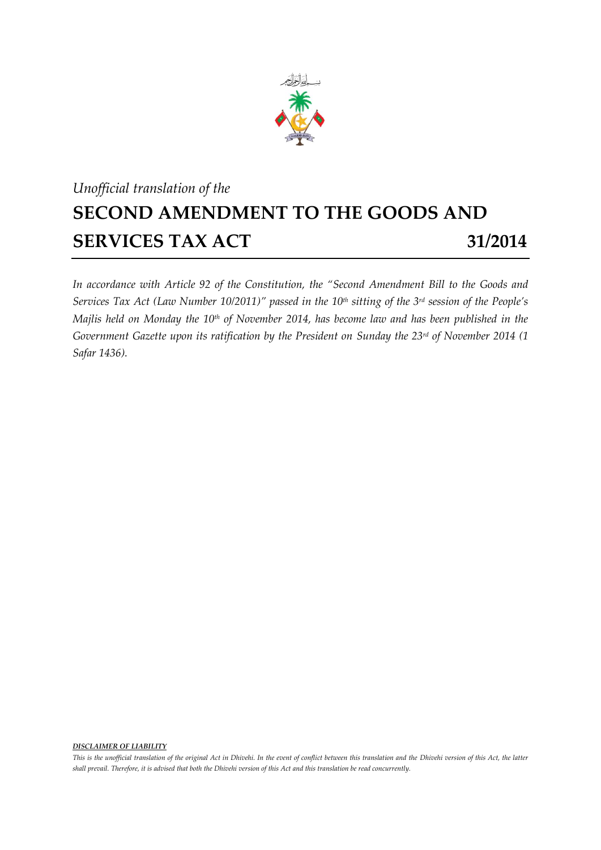

## *Unofficial translation of the* **SECOND AMENDMENT TO THE GOODS AND SERVICES TAX ACT 31/2014**

*In accordance with Article 92 of the Constitution, the "Second Amendment Bill to the Goods and Services Tax Act (Law Number 10/2011)" passed in the 10th sitting of the 3 rd session of the People's Majlis held on Monday the 10th of November 2014, has become law and has been published in the Government Gazette upon its ratification by the President on Sunday the 23rd of November 2014 (1 Safar 1436).*

*DISCLAIMER OF LIABILITY*

*This is the unofficial translation of the original Act in Dhivehi. In the event of conflict between this translation and the Dhivehi version of this Act, the latter shall prevail. Therefore, it is advised that both the Dhivehi version of this Act and this translation be read concurrently.*